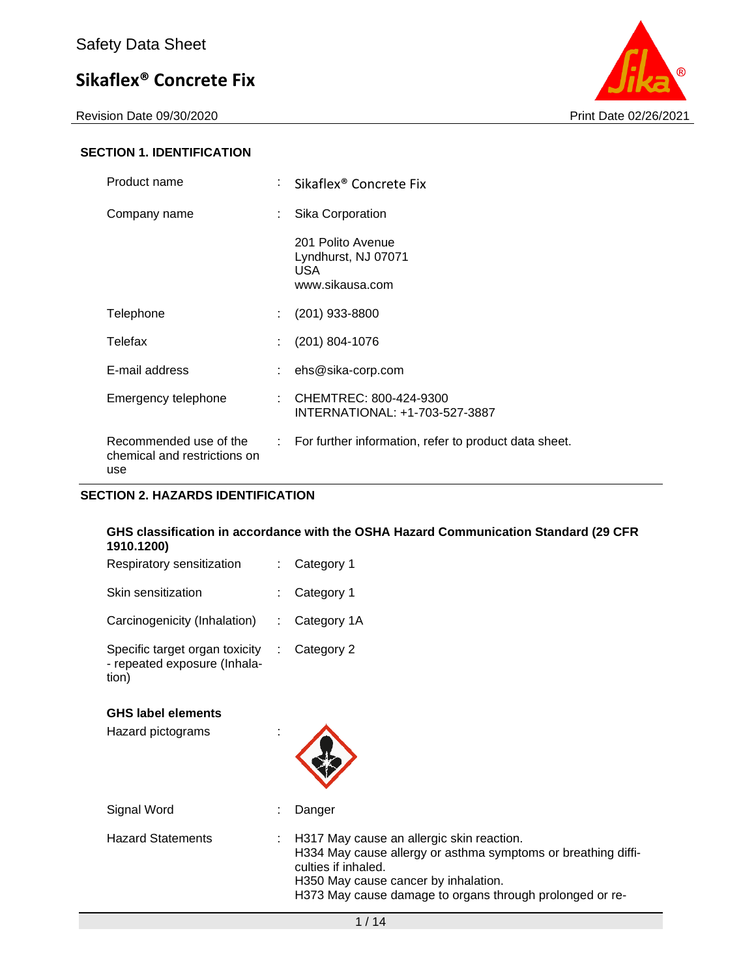

### **SECTION 1. IDENTIFICATION**

| Product name                                                  |    | Sikaflex <sup>®</sup> Concrete Fix                                  |
|---------------------------------------------------------------|----|---------------------------------------------------------------------|
| Company name                                                  | t. | Sika Corporation                                                    |
|                                                               |    | 201 Polito Avenue<br>Lyndhurst, NJ 07071<br>USA.<br>www.sikausa.com |
| Telephone                                                     | t. | $(201)$ 933-8800                                                    |
| Telefax                                                       | ÷. | $(201)$ 804-1076                                                    |
| E-mail address                                                | ÷. | ehs@sika-corp.com                                                   |
| Emergency telephone                                           | ÷. | CHEMTREC: 800-424-9300<br>INTERNATIONAL: +1-703-527-3887            |
| Recommended use of the<br>chemical and restrictions on<br>use |    | : For further information, refer to product data sheet.             |

## **SECTION 2. HAZARDS IDENTIFICATION**

#### **GHS classification in accordance with the OSHA Hazard Communication Standard (29 CFR 1910.1200)**

| Respiratory sensitization                                               | : Category 1    |
|-------------------------------------------------------------------------|-----------------|
| Skin sensitization                                                      | : Category 1    |
| Carcinogenicity (Inhalation)                                            | : Category $1A$ |
| Specific target organ toxicity<br>- repeated exposure (Inhala-<br>tion) | Category 2      |

#### **GHS label elements**

| <b>GHS label elements</b><br>Hazard pictograms |    |                                                                                                                                                                                                                                       |
|------------------------------------------------|----|---------------------------------------------------------------------------------------------------------------------------------------------------------------------------------------------------------------------------------------|
| Signal Word                                    |    | Danger                                                                                                                                                                                                                                |
| <b>Hazard Statements</b>                       | ÷. | H317 May cause an allergic skin reaction.<br>H334 May cause allergy or asthma symptoms or breathing diffi-<br>culties if inhaled.<br>H350 May cause cancer by inhalation.<br>H373 May cause damage to organs through prolonged or re- |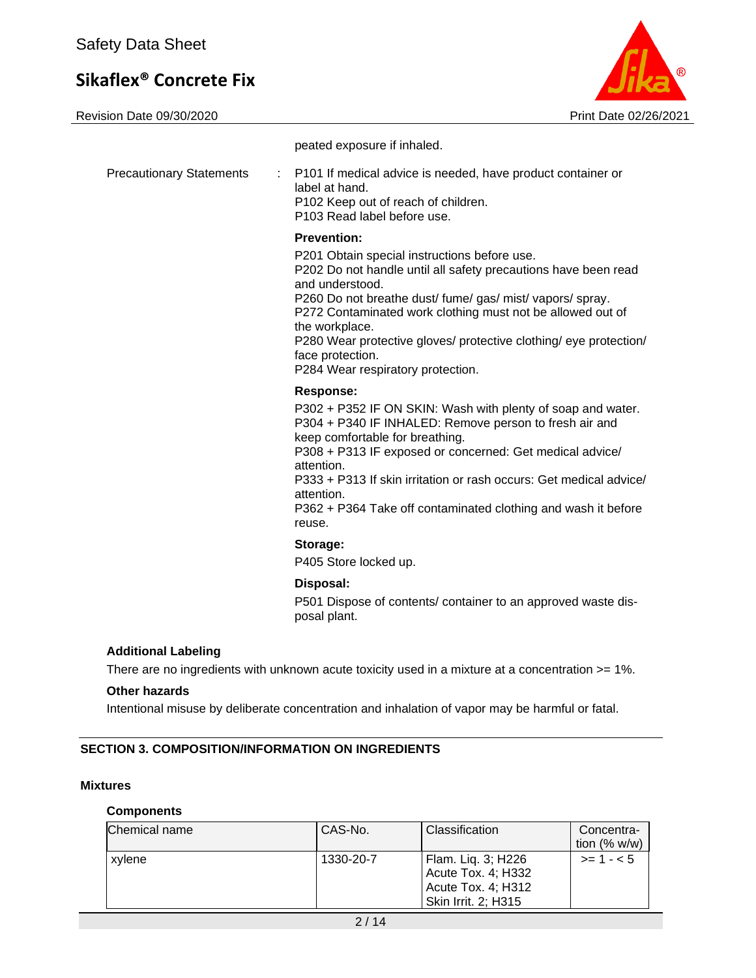Revision Date 09/30/2020 Print Date 02/26/2021



peated exposure if inhaled. Precautionary Statements : P101 If medical advice is needed, have product container or label at hand. P102 Keep out of reach of children. P103 Read label before use. **Prevention:**  P201 Obtain special instructions before use. P202 Do not handle until all safety precautions have been read and understood. P260 Do not breathe dust/ fume/ gas/ mist/ vapors/ spray. P272 Contaminated work clothing must not be allowed out of the workplace. P280 Wear protective gloves/ protective clothing/ eye protection/ face protection. P284 Wear respiratory protection. **Response:**  P302 + P352 IF ON SKIN: Wash with plenty of soap and water. P304 + P340 IF INHALED: Remove person to fresh air and keep comfortable for breathing. P308 + P313 IF exposed or concerned: Get medical advice/ attention. P333 + P313 If skin irritation or rash occurs: Get medical advice/ attention. P362 + P364 Take off contaminated clothing and wash it before reuse. **Storage:**  P405 Store locked up. **Disposal:**  P501 Dispose of contents/ container to an approved waste disposal plant.

#### **Additional Labeling**

There are no ingredients with unknown acute toxicity used in a mixture at a concentration >= 1%.

#### **Other hazards**

Intentional misuse by deliberate concentration and inhalation of vapor may be harmful or fatal.

#### **SECTION 3. COMPOSITION/INFORMATION ON INGREDIENTS**

#### **Mixtures**

#### **Components**

| Chemical name | CAS-No.   | Classification                                                 | Concentra-     |
|---------------|-----------|----------------------------------------------------------------|----------------|
|               |           |                                                                | tion $(% w/w)$ |
| xylene        | 1330-20-7 | Flam. Lig. 3; H226<br>Acute Tox. 4; H332<br>Acute Tox. 4; H312 | $>= 1 - 5$     |
|               |           | Skin Irrit. 2; H315                                            |                |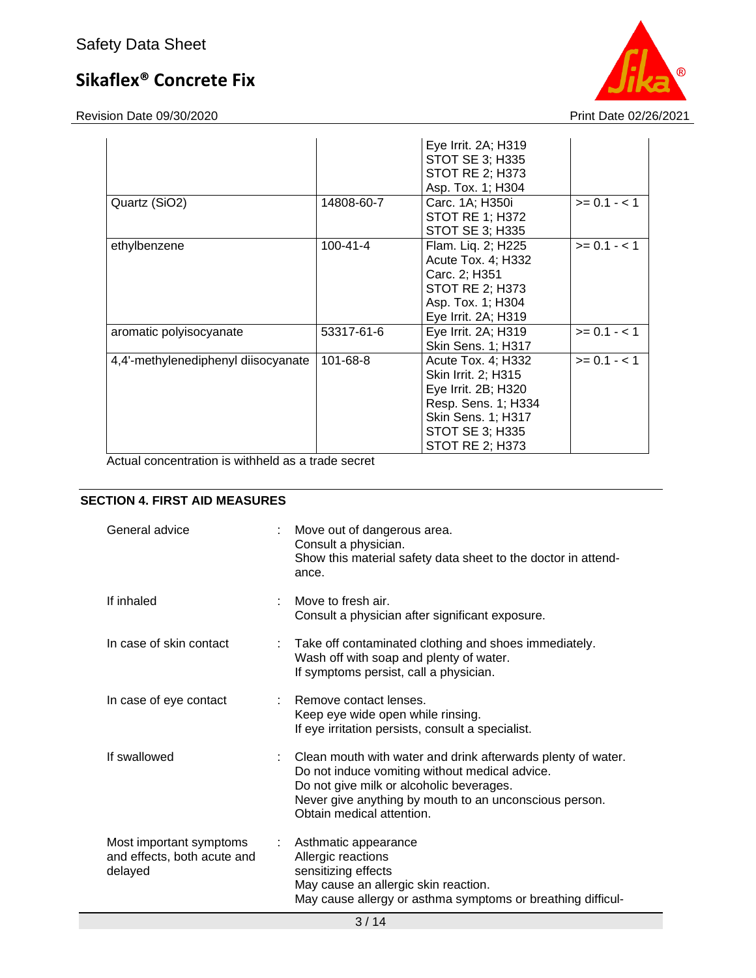Revision Date 09/30/2020 Print Date 02/26/2021



|                                     |            | Eye Irrit. 2A; H319<br><b>STOT SE 3; H335</b><br><b>STOT RE 2; H373</b><br>Asp. Tox. 1; H304                                                                      |                |
|-------------------------------------|------------|-------------------------------------------------------------------------------------------------------------------------------------------------------------------|----------------|
| Quartz (SiO2)                       | 14808-60-7 | Carc. 1A; H350i<br><b>STOT RE 1; H372</b><br><b>STOT SE 3; H335</b>                                                                                               | $>= 0.1 - 1.1$ |
| ethylbenzene                        | 100-41-4   | Flam. Lig. 2; H225<br>Acute Tox. 4; H332<br>Carc. 2; H351<br><b>STOT RE 2; H373</b><br>Asp. Tox. 1; H304<br>Eye Irrit. 2A; H319                                   | $>= 0.1 - < 1$ |
| aromatic polyisocyanate             | 53317-61-6 | Eye Irrit. 2A; H319<br>Skin Sens. 1; H317                                                                                                                         | $>= 0.1 - 1$   |
| 4,4'-methylenediphenyl diisocyanate | 101-68-8   | Acute Tox. 4; H332<br>Skin Irrit. 2; H315<br>Eye Irrit. 2B; H320<br>Resp. Sens. 1; H334<br><b>Skin Sens. 1; H317</b><br>STOT SE 3; H335<br><b>STOT RE 2; H373</b> | $>= 0.1 - 1.1$ |

Actual concentration is withheld as a trade secret

### **SECTION 4. FIRST AID MEASURES**

| General advice                                                    |    | Move out of dangerous area.<br>Consult a physician.<br>Show this material safety data sheet to the doctor in attend-<br>ance.                                                                                                                       |
|-------------------------------------------------------------------|----|-----------------------------------------------------------------------------------------------------------------------------------------------------------------------------------------------------------------------------------------------------|
| If inhaled                                                        | ÷. | Move to fresh air.<br>Consult a physician after significant exposure.                                                                                                                                                                               |
| In case of skin contact                                           |    | Take off contaminated clothing and shoes immediately.<br>Wash off with soap and plenty of water.<br>If symptoms persist, call a physician.                                                                                                          |
| In case of eye contact                                            |    | Remove contact lenses.<br>Keep eye wide open while rinsing.<br>If eye irritation persists, consult a specialist.                                                                                                                                    |
| If swallowed                                                      |    | : Clean mouth with water and drink afterwards plenty of water.<br>Do not induce vomiting without medical advice.<br>Do not give milk or alcoholic beverages.<br>Never give anything by mouth to an unconscious person.<br>Obtain medical attention. |
| Most important symptoms<br>and effects, both acute and<br>delayed | t. | Asthmatic appearance<br>Allergic reactions<br>sensitizing effects<br>May cause an allergic skin reaction.<br>May cause allergy or asthma symptoms or breathing difficul-                                                                            |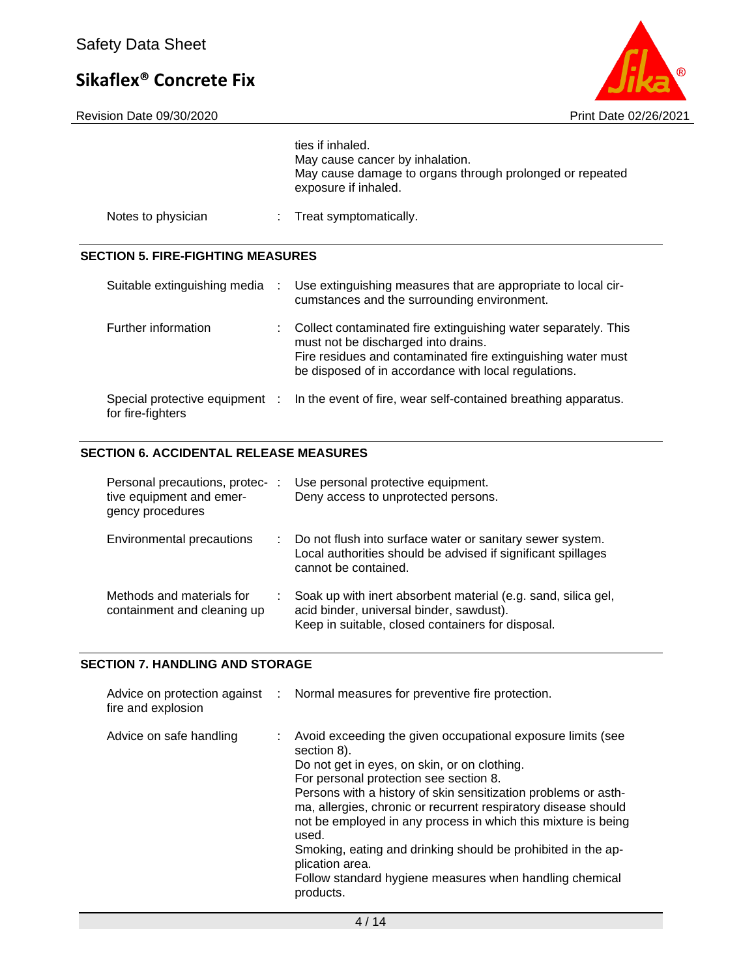Revision Date 09/30/2020 Print Date 02/26/2021



|                                                     |   | ties if inhaled.<br>May cause cancer by inhalation.<br>May cause damage to organs through prolonged or repeated<br>exposure if inhaled.                                                                                       |
|-----------------------------------------------------|---|-------------------------------------------------------------------------------------------------------------------------------------------------------------------------------------------------------------------------------|
| Notes to physician                                  |   | Treat symptomatically.                                                                                                                                                                                                        |
| <b>SECTION 5. FIRE-FIGHTING MEASURES</b>            |   |                                                                                                                                                                                                                               |
| Suitable extinguishing media                        | ÷ | Use extinguishing measures that are appropriate to local cir-<br>cumstances and the surrounding environment.                                                                                                                  |
| Further information                                 |   | Collect contaminated fire extinguishing water separately. This<br>must not be discharged into drains.<br>Fire residues and contaminated fire extinguishing water must<br>be disposed of in accordance with local regulations. |
| Special protective equipment :<br>for fire-fighters |   | In the event of fire, wear self-contained breathing apparatus.                                                                                                                                                                |

## **SECTION 6. ACCIDENTAL RELEASE MEASURES**

| Personal precautions, protec-<br>tive equipment and emer-<br>gency procedures |    | Use personal protective equipment.<br>Deny access to unprotected persons.                                                                                      |
|-------------------------------------------------------------------------------|----|----------------------------------------------------------------------------------------------------------------------------------------------------------------|
| Environmental precautions                                                     | t. | Do not flush into surface water or sanitary sewer system.<br>Local authorities should be advised if significant spillages<br>cannot be contained.              |
| Methods and materials for<br>containment and cleaning up                      |    | Soak up with inert absorbent material (e.g. sand, silica gel,<br>acid binder, universal binder, sawdust).<br>Keep in suitable, closed containers for disposal. |

### **SECTION 7. HANDLING AND STORAGE**

| Advice on protection against :<br>fire and explosion | Normal measures for preventive fire protection.                                                                                                                                                                                                                                                                                                                                                                                                                                                                                               |
|------------------------------------------------------|-----------------------------------------------------------------------------------------------------------------------------------------------------------------------------------------------------------------------------------------------------------------------------------------------------------------------------------------------------------------------------------------------------------------------------------------------------------------------------------------------------------------------------------------------|
| Advice on safe handling                              | Avoid exceeding the given occupational exposure limits (see<br>section 8).<br>Do not get in eyes, on skin, or on clothing.<br>For personal protection see section 8.<br>Persons with a history of skin sensitization problems or asth-<br>ma, allergies, chronic or recurrent respiratory disease should<br>not be employed in any process in which this mixture is being<br>used.<br>Smoking, eating and drinking should be prohibited in the ap-<br>plication area.<br>Follow standard hygiene measures when handling chemical<br>products. |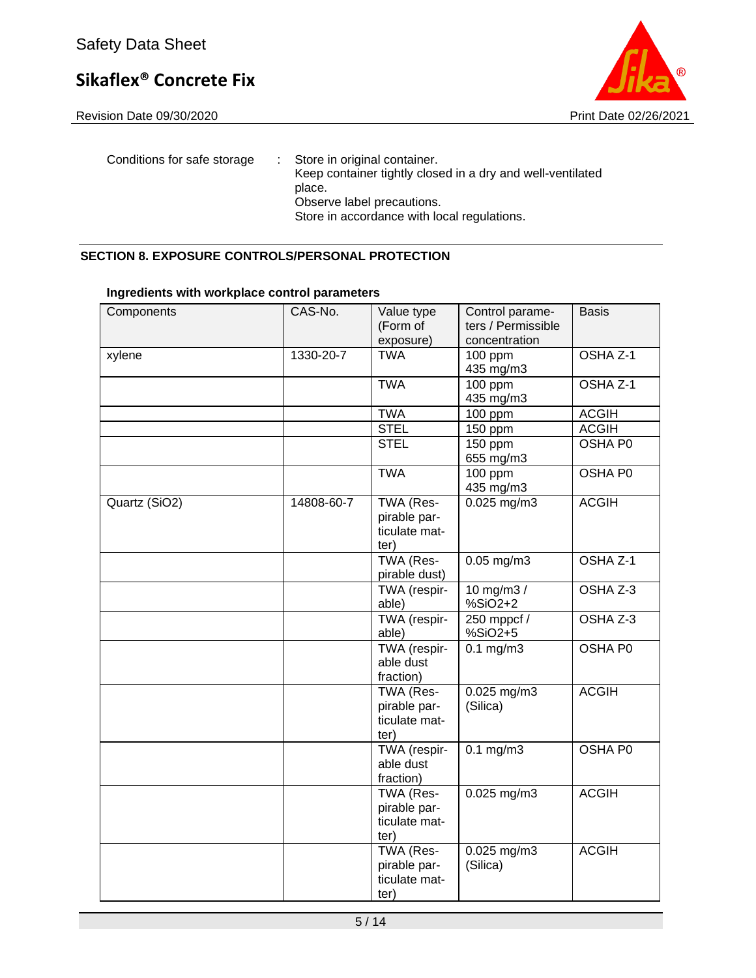Revision Date 09/30/2020 **Print Date 02/26/2021** 



Conditions for safe storage : Store in original container. Keep container tightly closed in a dry and well-ventilated place. Observe label precautions. Store in accordance with local regulations.

#### **SECTION 8. EXPOSURE CONTROLS/PERSONAL PROTECTION**

| Components    | CAS-No.    | Value type    | Control parame-    | <b>Basis</b> |
|---------------|------------|---------------|--------------------|--------------|
|               |            | (Form of      | ters / Permissible |              |
|               |            | exposure)     | concentration      |              |
| xylene        | 1330-20-7  | <b>TWA</b>    | 100 ppm            | OSHA Z-1     |
|               |            |               | 435 mg/m3          |              |
|               |            | <b>TWA</b>    | $100$ ppm          | OSHA Z-1     |
|               |            |               | 435 mg/m3          |              |
|               |            | <b>TWA</b>    | 100 ppm            | <b>ACGIH</b> |
|               |            | <b>STEL</b>   | 150 ppm            | <b>ACGIH</b> |
|               |            | <b>STEL</b>   | 150 ppm            | OSHA P0      |
|               |            |               | 655 mg/m3          |              |
|               |            | <b>TWA</b>    | $100$ ppm          | OSHA P0      |
|               |            |               | 435 mg/m3          |              |
| Quartz (SiO2) | 14808-60-7 | TWA (Res-     | $0.025$ mg/m3      | <b>ACGIH</b> |
|               |            | pirable par-  |                    |              |
|               |            | ticulate mat- |                    |              |
|               |            | ter)          |                    |              |
|               |            | TWA (Res-     | $0.05$ mg/m3       | OSHA Z-1     |
|               |            | pirable dust) |                    |              |
|               |            | TWA (respir-  | 10 mg/m3 /         | OSHA Z-3     |
|               |            | able)         | %SiO2+2            |              |
|               |            | TWA (respir-  | 250 mppcf /        | OSHA Z-3     |
|               |            | able)         | %SiO2+5            |              |
|               |            | TWA (respir-  | $0.1$ mg/m $3$     | OSHA P0      |
|               |            | able dust     |                    |              |
|               |            | fraction)     |                    |              |
|               |            | TWA (Res-     | 0.025 mg/m3        | <b>ACGIH</b> |
|               |            | pirable par-  | (Silica)           |              |
|               |            | ticulate mat- |                    |              |
|               |            | ter)          |                    |              |
|               |            | TWA (respir-  | $0.1$ mg/m $3$     | OSHA P0      |
|               |            | able dust     |                    |              |
|               |            | fraction)     |                    |              |
|               |            | TWA (Res-     | $0.025$ mg/m3      | <b>ACGIH</b> |
|               |            | pirable par-  |                    |              |
|               |            | ticulate mat- |                    |              |
|               |            | ter)          |                    |              |
|               |            | TWA (Res-     | $0.025$ mg/m3      | <b>ACGIH</b> |
|               |            | pirable par-  | (Silica)           |              |
|               |            | ticulate mat- |                    |              |
|               |            | ter)          |                    |              |
|               |            |               |                    |              |

### **Ingredients with workplace control parameters**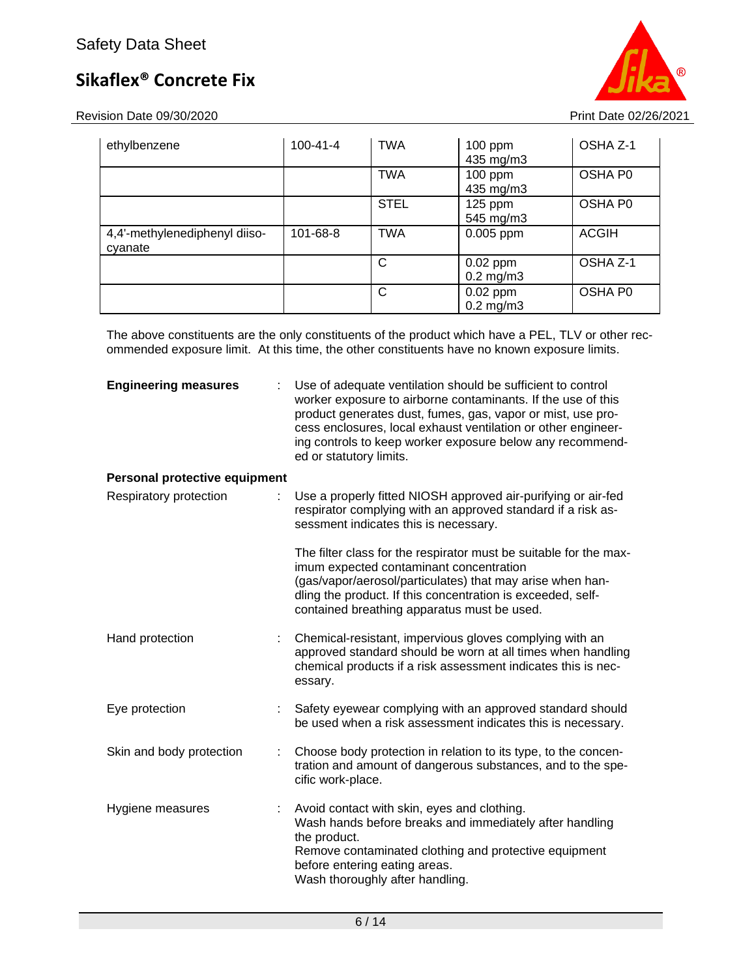Revision Date 09/30/2020 Print Date 02/26/2021

| ethylbenzene                             | $100 - 41 - 4$ | <b>TWA</b>  | $100$ ppm<br>435 mg/m3       | OSHA Z-1     |
|------------------------------------------|----------------|-------------|------------------------------|--------------|
|                                          |                | <b>TWA</b>  | $100$ ppm<br>435 mg/m3       | OSHA P0      |
|                                          |                | <b>STEL</b> | $125$ ppm<br>545 mg/m3       | OSHA P0      |
| 4,4'-methylenediphenyl diiso-<br>cyanate | 101-68-8       | <b>TWA</b>  | 0.005 ppm                    | <b>ACGIH</b> |
|                                          |                | С           | $0.02$ ppm<br>$0.2$ mg/m $3$ | OSHA Z-1     |
|                                          |                | C           | $0.02$ ppm<br>$0.2$ mg/m $3$ | OSHA P0      |

The above constituents are the only constituents of the product which have a PEL, TLV or other recommended exposure limit. At this time, the other constituents have no known exposure limits.

| <b>Engineering measures</b>   |   | Use of adequate ventilation should be sufficient to control<br>worker exposure to airborne contaminants. If the use of this<br>product generates dust, fumes, gas, vapor or mist, use pro-<br>cess enclosures, local exhaust ventilation or other engineer-<br>ing controls to keep worker exposure below any recommend-<br>ed or statutory limits. |
|-------------------------------|---|-----------------------------------------------------------------------------------------------------------------------------------------------------------------------------------------------------------------------------------------------------------------------------------------------------------------------------------------------------|
| Personal protective equipment |   |                                                                                                                                                                                                                                                                                                                                                     |
| Respiratory protection        |   | Use a properly fitted NIOSH approved air-purifying or air-fed<br>respirator complying with an approved standard if a risk as-<br>sessment indicates this is necessary.                                                                                                                                                                              |
|                               |   | The filter class for the respirator must be suitable for the max-<br>imum expected contaminant concentration<br>(gas/vapor/aerosol/particulates) that may arise when han-<br>dling the product. If this concentration is exceeded, self-<br>contained breathing apparatus must be used.                                                             |
| Hand protection               |   | Chemical-resistant, impervious gloves complying with an<br>approved standard should be worn at all times when handling<br>chemical products if a risk assessment indicates this is nec-<br>essary.                                                                                                                                                  |
| Eye protection                |   | Safety eyewear complying with an approved standard should<br>be used when a risk assessment indicates this is necessary.                                                                                                                                                                                                                            |
| Skin and body protection      | ÷ | Choose body protection in relation to its type, to the concen-<br>tration and amount of dangerous substances, and to the spe-<br>cific work-place.                                                                                                                                                                                                  |
| Hygiene measures              |   | Avoid contact with skin, eyes and clothing.<br>Wash hands before breaks and immediately after handling<br>the product.<br>Remove contaminated clothing and protective equipment<br>before entering eating areas.<br>Wash thoroughly after handling.                                                                                                 |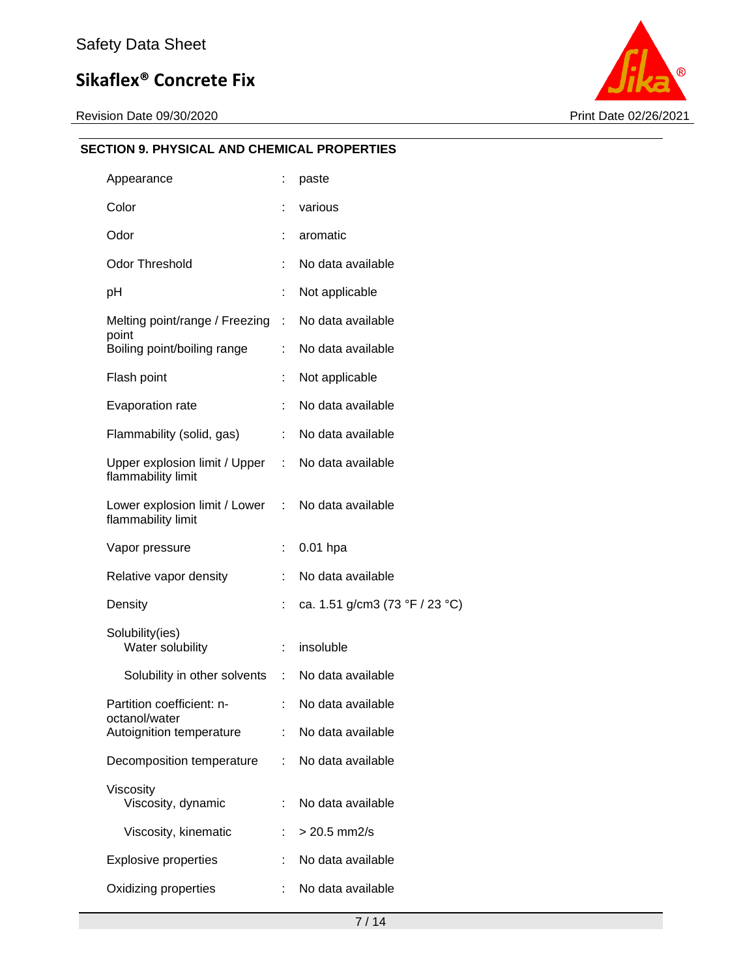Revision Date 09/30/2020 Print Date 02/26/2021



## **SECTION 9. PHYSICAL AND CHEMICAL PROPERTIES**

| Appearance                                                              |                                                  | ÷  | paste                          |
|-------------------------------------------------------------------------|--------------------------------------------------|----|--------------------------------|
| Color                                                                   |                                                  | t  | various                        |
| Odor                                                                    |                                                  | ÷  | aromatic                       |
| <b>Odor Threshold</b>                                                   |                                                  | ÷  | No data available              |
| рH                                                                      |                                                  | ÷  | Not applicable                 |
| Melting point/range / Freezing :<br>point                               |                                                  |    | No data available              |
|                                                                         | Boiling point/boiling range                      | ÷. | No data available              |
|                                                                         | Flash point                                      | ÷  | Not applicable                 |
| Evaporation rate                                                        |                                                  | ÷  | No data available              |
|                                                                         | Flammability (solid, gas)                        | ÷. | No data available              |
| Upper explosion limit / Upper : No data available<br>flammability limit |                                                  |    |                                |
| Lower explosion limit / Lower : No data available<br>flammability limit |                                                  |    |                                |
| Vapor pressure                                                          |                                                  | ÷  | $0.01$ hpa                     |
| Relative vapor density                                                  |                                                  | ÷  | No data available              |
| Density                                                                 |                                                  | ÷  | ca. 1.51 g/cm3 (73 °F / 23 °C) |
|                                                                         | Solubility(ies)<br>Water solubility              | ÷  | insoluble                      |
|                                                                         | Solubility in other solvents : No data available |    |                                |
| Partition coefficient: n-<br>octanol/water<br>Autoignition temperature  |                                                  | ÷  | No data available              |
|                                                                         |                                                  |    | No data available              |
| Decomposition temperature                                               |                                                  | ÷  | No data available              |
|                                                                         | Viscosity<br>Viscosity, dynamic                  | ÷  | No data available              |
|                                                                         | Viscosity, kinematic                             | t. | $> 20.5$ mm2/s                 |
|                                                                         | <b>Explosive properties</b>                      |    | No data available              |
| Oxidizing properties                                                    |                                                  | ÷  | No data available              |
|                                                                         |                                                  |    |                                |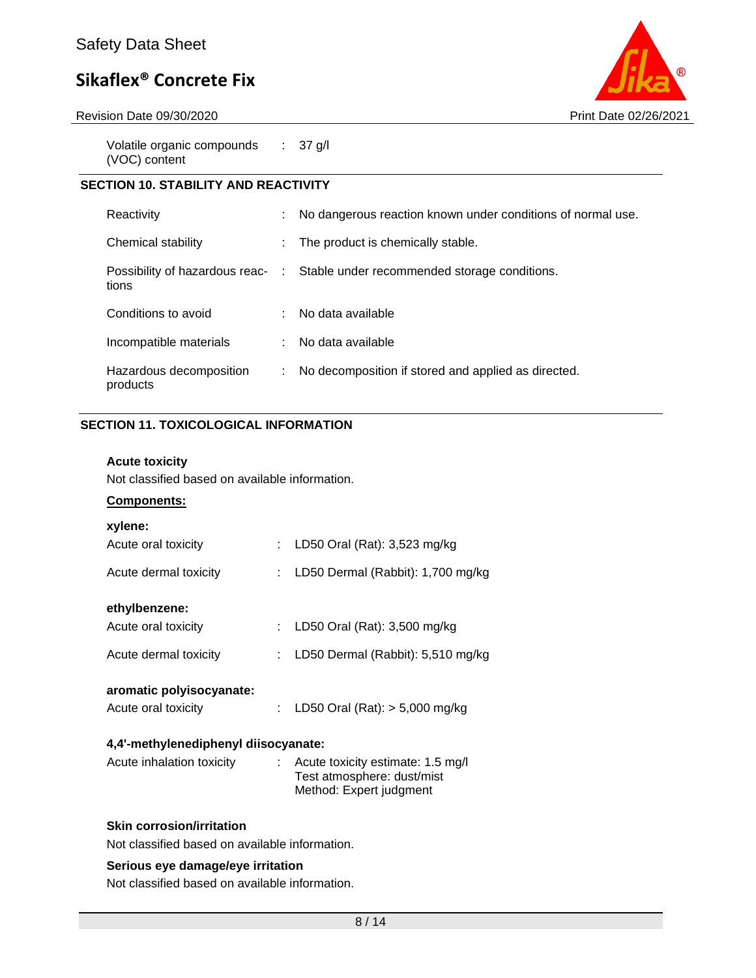

Revision Date 09/30/2020 Print Date 02/26/2021

Volatile organic compounds (VOC) content : 37 g/l

### **SECTION 10. STABILITY AND REACTIVITY**

| Reactivity                          | ÷ | No dangerous reaction known under conditions of normal use.                   |
|-------------------------------------|---|-------------------------------------------------------------------------------|
| Chemical stability                  |   | The product is chemically stable.                                             |
| tions                               |   | Possibility of hazardous reac- : Stable under recommended storage conditions. |
| Conditions to avoid                 |   | : No data available                                                           |
| Incompatible materials              |   | No data available                                                             |
| Hazardous decomposition<br>products | ÷ | No decomposition if stored and applied as directed.                           |

### **SECTION 11. TOXICOLOGICAL INFORMATION**

#### **Acute toxicity**

Not classified based on available information.

#### **Components:**

| xylene:                              |    |                                                                                              |  |  |  |
|--------------------------------------|----|----------------------------------------------------------------------------------------------|--|--|--|
| Acute oral toxicity                  | ÷. | LD50 Oral (Rat): 3,523 mg/kg                                                                 |  |  |  |
| Acute dermal toxicity                | t. | LD50 Dermal (Rabbit): 1,700 mg/kg                                                            |  |  |  |
| ethylbenzene:                        |    |                                                                                              |  |  |  |
| Acute oral toxicity                  | t. | LD50 Oral (Rat): 3,500 mg/kg                                                                 |  |  |  |
| Acute dermal toxicity                | t. | LD50 Dermal (Rabbit): 5,510 mg/kg                                                            |  |  |  |
| aromatic polyisocyanate:             |    |                                                                                              |  |  |  |
| Acute oral toxicity                  | ÷. | LD50 Oral (Rat): $> 5,000$ mg/kg                                                             |  |  |  |
| 4,4'-methylenediphenyl diisocyanate: |    |                                                                                              |  |  |  |
| Acute inhalation toxicity            |    | : Acute toxicity estimate: 1.5 mg/l<br>Test atmosphere: dust/mist<br>Method: Expert judgment |  |  |  |

#### **Skin corrosion/irritation**

Not classified based on available information.

### **Serious eye damage/eye irritation**

Not classified based on available information.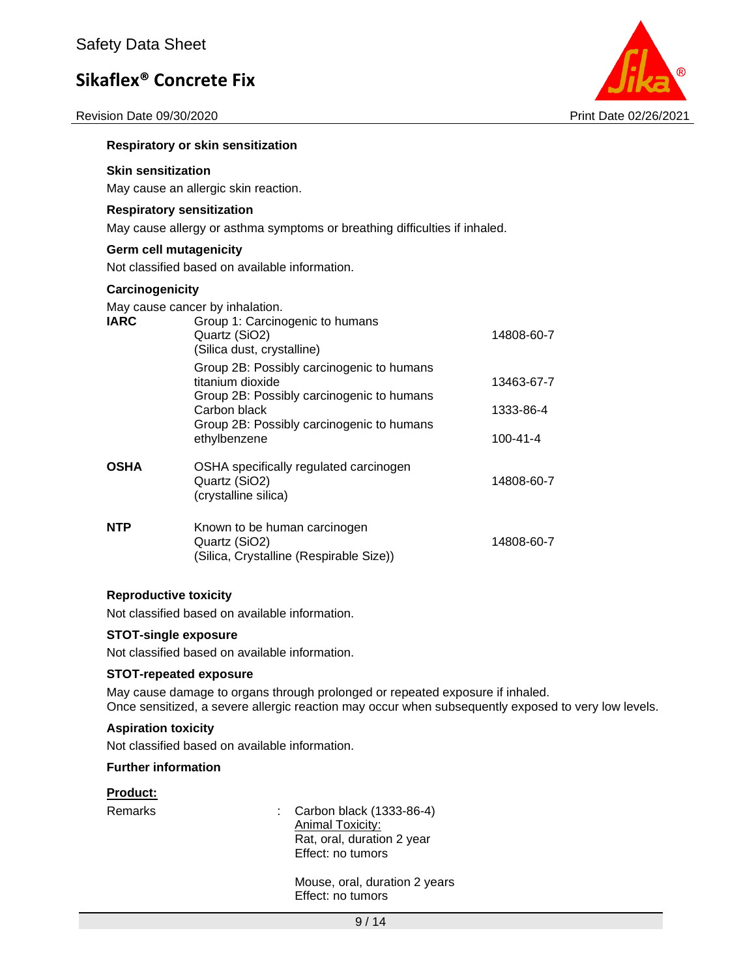Revision Date 09/30/2020 Print Date 02/26/2021



### **Respiratory or skin sensitization**

## **Skin sensitization**

May cause an allergic skin reaction.

#### **Respiratory sensitization**

May cause allergy or asthma symptoms or breathing difficulties if inhaled.

#### **Germ cell mutagenicity**

Not classified based on available information.

#### **Carcinogenicity**

May cause cancer by inhalation.

| <b>IARC</b> | Group 1: Carcinogenic to humans<br>Quartz (SiO2)<br>(Silica dust, crystalline)                             | 14808-60-7 |  |  |
|-------------|------------------------------------------------------------------------------------------------------------|------------|--|--|
|             | Group 2B: Possibly carcinogenic to humans<br>titanium dioxide<br>Group 2B: Possibly carcinogenic to humans | 13463-67-7 |  |  |
|             | Carbon black                                                                                               | 1333-86-4  |  |  |
|             | Group 2B: Possibly carcinogenic to humans<br>ethylbenzene                                                  | 100-41-4   |  |  |
| <b>OSHA</b> | OSHA specifically regulated carcinogen<br>Quartz (SiO2)<br>(crystalline silica)                            | 14808-60-7 |  |  |
| <b>NTP</b>  | Known to be human carcinogen<br>Quartz (SiO2)<br>(Silica, Crystalline (Respirable Size))                   | 14808-60-7 |  |  |

#### **Reproductive toxicity**

Not classified based on available information.

#### **STOT-single exposure**

Not classified based on available information.

#### **STOT-repeated exposure**

May cause damage to organs through prolonged or repeated exposure if inhaled. Once sensitized, a severe allergic reaction may occur when subsequently exposed to very low levels.

#### **Aspiration toxicity**

Not classified based on available information.

#### **Further information**

#### **Product:**

Remarks : Carbon black (1333-86-4) Animal Toxicity: Rat, oral, duration 2 year Effect: no tumors

> Mouse, oral, duration 2 years Effect: no tumors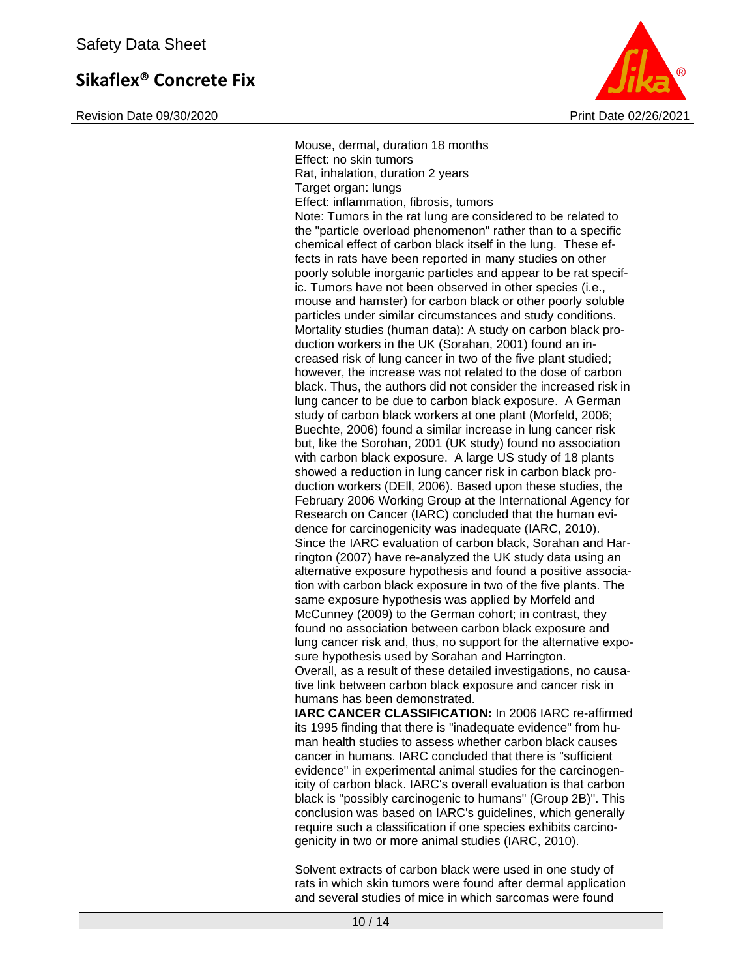Revision Date 09/30/2020 **Print Date 02/26/2021** Print Date 02/26/2021



Mouse, dermal, duration 18 months Effect: no skin tumors Rat, inhalation, duration 2 years Target organ: lungs Effect: inflammation, fibrosis, tumors Note: Tumors in the rat lung are considered to be related to the "particle overload phenomenon" rather than to a specific chemical effect of carbon black itself in the lung. These effects in rats have been reported in many studies on other poorly soluble inorganic particles and appear to be rat specific. Tumors have not been observed in other species (i.e., mouse and hamster) for carbon black or other poorly soluble particles under similar circumstances and study conditions. Mortality studies (human data): A study on carbon black production workers in the UK (Sorahan, 2001) found an increased risk of lung cancer in two of the five plant studied; however, the increase was not related to the dose of carbon black. Thus, the authors did not consider the increased risk in lung cancer to be due to carbon black exposure. A German study of carbon black workers at one plant (Morfeld, 2006; Buechte, 2006) found a similar increase in lung cancer risk but, like the Sorohan, 2001 (UK study) found no association with carbon black exposure. A large US study of 18 plants showed a reduction in lung cancer risk in carbon black production workers (DEll, 2006). Based upon these studies, the February 2006 Working Group at the International Agency for Research on Cancer (IARC) concluded that the human evidence for carcinogenicity was inadequate (IARC, 2010). Since the IARC evaluation of carbon black, Sorahan and Harrington (2007) have re-analyzed the UK study data using an alternative exposure hypothesis and found a positive association with carbon black exposure in two of the five plants. The same exposure hypothesis was applied by Morfeld and McCunney (2009) to the German cohort; in contrast, they found no association between carbon black exposure and lung cancer risk and, thus, no support for the alternative exposure hypothesis used by Sorahan and Harrington. Overall, as a result of these detailed investigations, no causative link between carbon black exposure and cancer risk in humans has been demonstrated. **IARC CANCER CLASSIFICATION:** In 2006 IARC re-affirmed

its 1995 finding that there is "inadequate evidence" from human health studies to assess whether carbon black causes cancer in humans. IARC concluded that there is "sufficient evidence" in experimental animal studies for the carcinogenicity of carbon black. IARC's overall evaluation is that carbon black is "possibly carcinogenic to humans" (Group 2B)". This conclusion was based on IARC's guidelines, which generally require such a classification if one species exhibits carcinogenicity in two or more animal studies (IARC, 2010).

Solvent extracts of carbon black were used in one study of rats in which skin tumors were found after dermal application and several studies of mice in which sarcomas were found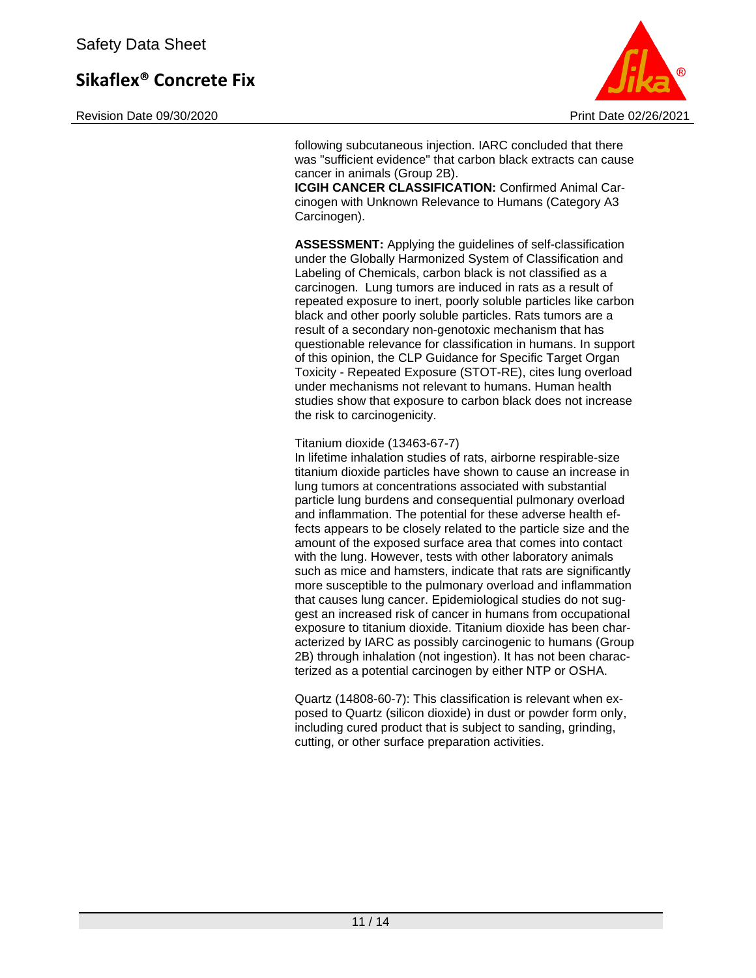Revision Date 09/30/2020 **Print Date 02/26/2021** Print Date 02/26/2021



following subcutaneous injection. IARC concluded that there was "sufficient evidence" that carbon black extracts can cause cancer in animals (Group 2B).

**ICGIH CANCER CLASSIFICATION:** Confirmed Animal Carcinogen with Unknown Relevance to Humans (Category A3 Carcinogen).

**ASSESSMENT:** Applying the guidelines of self-classification under the Globally Harmonized System of Classification and Labeling of Chemicals, carbon black is not classified as a carcinogen. Lung tumors are induced in rats as a result of repeated exposure to inert, poorly soluble particles like carbon black and other poorly soluble particles. Rats tumors are a result of a secondary non-genotoxic mechanism that has questionable relevance for classification in humans. In support of this opinion, the CLP Guidance for Specific Target Organ Toxicity - Repeated Exposure (STOT-RE), cites lung overload under mechanisms not relevant to humans. Human health studies show that exposure to carbon black does not increase the risk to carcinogenicity.

#### Titanium dioxide (13463-67-7)

In lifetime inhalation studies of rats, airborne respirable-size titanium dioxide particles have shown to cause an increase in lung tumors at concentrations associated with substantial particle lung burdens and consequential pulmonary overload and inflammation. The potential for these adverse health effects appears to be closely related to the particle size and the amount of the exposed surface area that comes into contact with the lung. However, tests with other laboratory animals such as mice and hamsters, indicate that rats are significantly more susceptible to the pulmonary overload and inflammation that causes lung cancer. Epidemiological studies do not suggest an increased risk of cancer in humans from occupational exposure to titanium dioxide. Titanium dioxide has been characterized by IARC as possibly carcinogenic to humans (Group 2B) through inhalation (not ingestion). It has not been characterized as a potential carcinogen by either NTP or OSHA.

Quartz (14808-60-7): This classification is relevant when exposed to Quartz (silicon dioxide) in dust or powder form only, including cured product that is subject to sanding, grinding, cutting, or other surface preparation activities.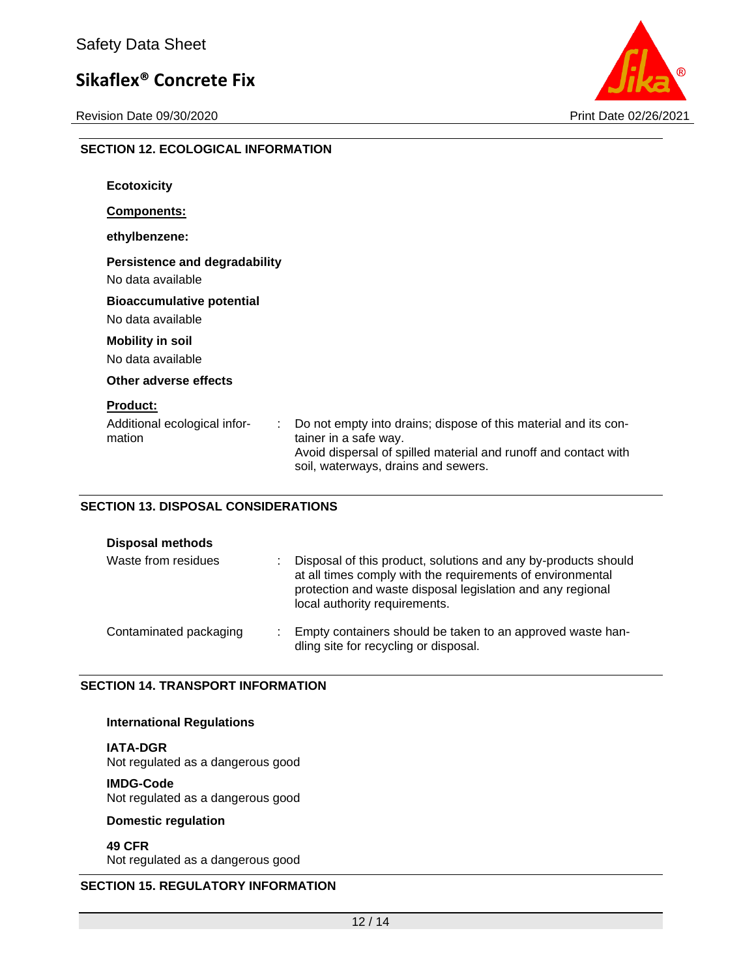**SECTION 12. ECOLOGICAL INFORMATION**

Revision Date 09/30/2020 **Print Date 02/26/2021** 



| <b>Ecotoxicity</b>                                             |                                                                                                                                                                                                    |
|----------------------------------------------------------------|----------------------------------------------------------------------------------------------------------------------------------------------------------------------------------------------------|
| <b>Components:</b>                                             |                                                                                                                                                                                                    |
| ethylbenzene:                                                  |                                                                                                                                                                                                    |
| <b>Persistence and degradability</b><br>No data available      |                                                                                                                                                                                                    |
| <b>Bioaccumulative potential</b><br>No data available          |                                                                                                                                                                                                    |
| <b>Mobility in soil</b><br>No data available                   |                                                                                                                                                                                                    |
| Other adverse effects                                          |                                                                                                                                                                                                    |
| <b>Product:</b><br>Additional ecological infor-<br>÷<br>mation | Do not empty into drains; dispose of this material and its con-<br>tainer in a safe way.<br>Avoid dispersal of spilled material and runoff and contact with<br>soil, waterways, drains and sewers. |

#### **SECTION 13. DISPOSAL CONSIDERATIONS**

| <b>Disposal methods</b> |  |                                                                                                                                                                                                                             |  |  |
|-------------------------|--|-----------------------------------------------------------------------------------------------------------------------------------------------------------------------------------------------------------------------------|--|--|
| Waste from residues     |  | Disposal of this product, solutions and any by-products should<br>at all times comply with the requirements of environmental<br>protection and waste disposal legislation and any regional<br>local authority requirements. |  |  |
| Contaminated packaging  |  | Empty containers should be taken to an approved waste han-<br>dling site for recycling or disposal.                                                                                                                         |  |  |

#### **SECTION 14. TRANSPORT INFORMATION**

#### **International Regulations**

**IATA-DGR** Not regulated as a dangerous good

#### **IMDG-Code**

Not regulated as a dangerous good

### **Domestic regulation**

**49 CFR**

Not regulated as a dangerous good

## **SECTION 15. REGULATORY INFORMATION**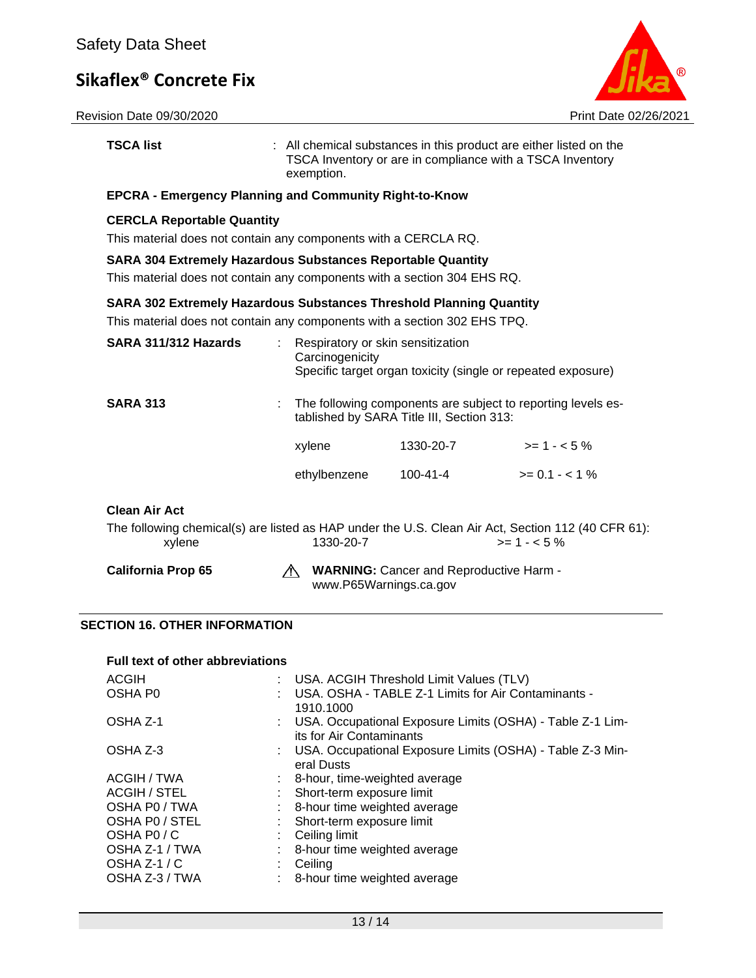

| <b>TSCA list</b>                                                                                                                                        | exemption.                                                                                           | TSCA Inventory or are in compliance with a TSCA Inventory                                         | : All chemical substances in this product are either listed on the |  |  |
|---------------------------------------------------------------------------------------------------------------------------------------------------------|------------------------------------------------------------------------------------------------------|---------------------------------------------------------------------------------------------------|--------------------------------------------------------------------|--|--|
| <b>EPCRA - Emergency Planning and Community Right-to-Know</b>                                                                                           |                                                                                                      |                                                                                                   |                                                                    |  |  |
|                                                                                                                                                         | <b>CERCLA Reportable Quantity</b><br>This material does not contain any components with a CERCLA RQ. |                                                                                                   |                                                                    |  |  |
| <b>SARA 304 Extremely Hazardous Substances Reportable Quantity</b><br>This material does not contain any components with a section 304 EHS RQ.          |                                                                                                      |                                                                                                   |                                                                    |  |  |
| <b>SARA 302 Extremely Hazardous Substances Threshold Planning Quantity</b><br>This material does not contain any components with a section 302 EHS TPQ. |                                                                                                      |                                                                                                   |                                                                    |  |  |
| SARA 311/312 Hazards                                                                                                                                    | $\sim$<br>Carcinogenicity                                                                            | Respiratory or skin sensitization<br>Specific target organ toxicity (single or repeated exposure) |                                                                    |  |  |
| <b>SARA 313</b>                                                                                                                                         |                                                                                                      | tablished by SARA Title III, Section 313:                                                         | The following components are subject to reporting levels es-       |  |  |
|                                                                                                                                                         | xylene                                                                                               | 1330-20-7                                                                                         | $>= 1 - 5%$                                                        |  |  |
|                                                                                                                                                         | ethylbenzene                                                                                         | 100-41-4                                                                                          | $>= 0.1 - 1\%$                                                     |  |  |
| <b>Clean Air Act</b><br>The following chemical(s) are listed as HAP under the U.S. Clean Air Act, Section 112 (40 CFR 61):                              |                                                                                                      |                                                                                                   |                                                                    |  |  |
| xylene                                                                                                                                                  | 1330-20-7                                                                                            |                                                                                                   | $>= 1 - 5\%$                                                       |  |  |
| <b>California Prop 65</b>                                                                                                                               | Æ.                                                                                                   | <b>WARNING:</b> Cancer and Reproductive Harm -<br>www.P65Warnings.ca.gov                          |                                                                    |  |  |

## **SECTION 16. OTHER INFORMATION**

| : USA. ACGIH Threshold Limit Values (TLV)                                               |
|-----------------------------------------------------------------------------------------|
| USA. OSHA - TABLE Z-1 Limits for Air Contaminants -<br>1910.1000                        |
| : USA. Occupational Exposure Limits (OSHA) - Table Z-1 Lim-<br>its for Air Contaminants |
| : USA. Occupational Exposure Limits (OSHA) - Table Z-3 Min-<br>eral Dusts               |
| : 8-hour, time-weighted average                                                         |
| : Short-term exposure limit                                                             |
| : 8-hour time weighted average                                                          |
| : Short-term exposure limit                                                             |
| $\therefore$ Ceiling limit                                                              |
| : 8-hour time weighted average                                                          |
| Ceiling                                                                                 |
| : 8-hour time weighted average                                                          |
| <b>Full text of other abbreviations</b>                                                 |